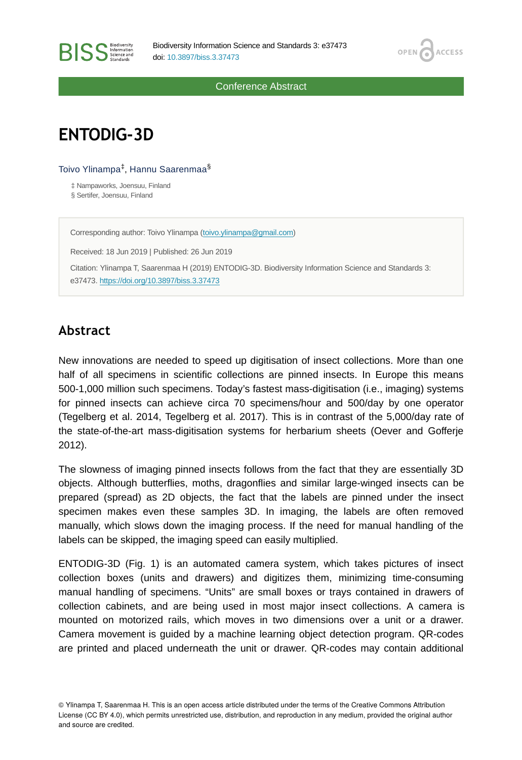

Conference Abstract

# **ENTODIG-3D**

**BISS** Steince and

Toivo Ylinampa<sup>‡</sup>, Hannu Saarenmaa<sup>§</sup>

‡ Nampaworks, Joensuu, Finland § Sertifer, Joensuu, Finland

Corresponding author: Toivo Ylinampa ([toivo.ylinampa@gmail.com](mailto:toivo.ylinampa@gmail.com))

Received: 18 Jun 2019 | Published: 26 Jun 2019 Citation: Ylinampa T, Saarenmaa H (2019) ENTODIG-3D. Biodiversity Information Science and Standards 3: e37473.<https://doi.org/10.3897/biss.3.37473>

# **Abstract**

New innovations are needed to speed up digitisation of insect collections. More than one half of all specimens in scientific collections are pinned insects. In Europe this means 500-1,000 million such specimens. Today's fastest mass-digitisation (i.e., imaging) systems for pinned insects can achieve circa 70 specimens/hour and 500/day by one operator (Tegelberg et al. 2014, Tegelberg et al. 2017). This is in contrast of the 5,000/day rate of the state-of-the-art mass-digitisation systems for herbarium sheets (Oever and Gofferje 2012).

The slowness of imaging pinned insects follows from the fact that they are essentially 3D objects. Although butterflies, moths, dragonflies and similar large-winged insects can be prepared (spread) as 2D objects, the fact that the labels are pinned under the insect specimen makes even these samples 3D. In imaging, the labels are often removed manually, which slows down the imaging process. If the need for manual handling of the labels can be skipped, the imaging speed can easily multiplied.

ENTODIG-3D (Fig. 1) is an automated camera system, which takes pictures of insect collection boxes (units and drawers) and digitizes them, minimizing time-consuming manual handling of specimens. "Units" are small boxes or trays contained in drawers of collection cabinets, and are being used in most major insect collections. A camera is mounted on motorized rails, which moves in two dimensions over a unit or a drawer. Camera movement is guided by a machine learning object detection program. QR-codes are printed and placed underneath the unit or drawer. QR-codes may contain additional

© Ylinampa T, Saarenmaa H. This is an open access article distributed under the terms of the Creative Commons Attribution License (CC BY 4.0), which permits unrestricted use, distribution, and reproduction in any medium, provided the original author and source are credited.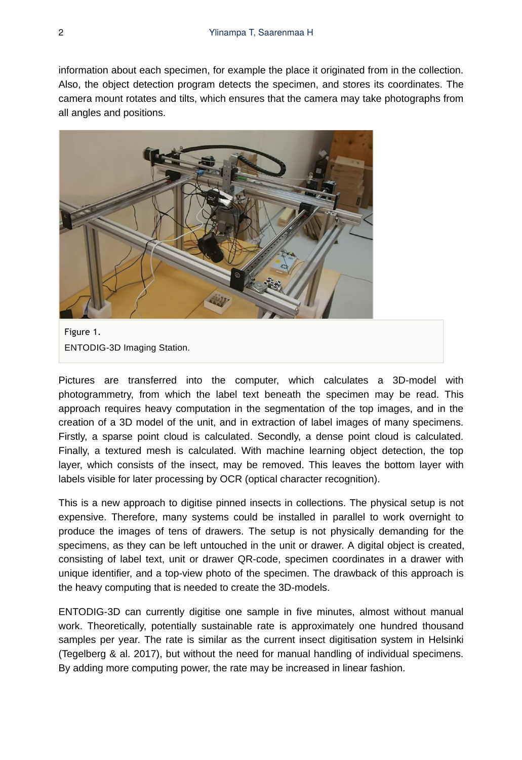information about each specimen, for example the place it originated from in the collection. Also, the object detection program detects the specimen, and stores its coordinates. The camera mount rotates and tilts, which ensures that the camera may take photographs from all angles and positions.



Figure 1. ENTODIG-3D Imaging Station.

Pictures are transferred into the computer, which calculates a 3D-model with photogrammetry, from which the label text beneath the specimen may be read. This approach requires heavy computation in the segmentation of the top images, and in the creation of a 3D model of the unit, and in extraction of label images of many specimens. Firstly, a sparse point cloud is calculated. Secondly, a dense point cloud is calculated. Finally, a textured mesh is calculated. With machine learning object detection, the top layer, which consists of the insect, may be removed. This leaves the bottom layer with labels visible for later processing by OCR (optical character recognition).

This is a new approach to digitise pinned insects in collections. The physical setup is not expensive. Therefore, many systems could be installed in parallel to work overnight to produce the images of tens of drawers. The setup is not physically demanding for the specimens, as they can be left untouched in the unit or drawer. A digital object is created, consisting of label text, unit or drawer QR-code, specimen coordinates in a drawer with unique identifier, and a top-view photo of the specimen. The drawback of this approach is the heavy computing that is needed to create the 3D-models.

ENTODIG-3D can currently digitise one sample in five minutes, almost without manual work. Theoretically, potentially sustainable rate is approximately one hundred thousand samples per year. The rate is similar as the current insect digitisation system in Helsinki (Tegelberg & al. 2017), but without the need for manual handling of individual specimens. By adding more computing power, the rate may be increased in linear fashion.